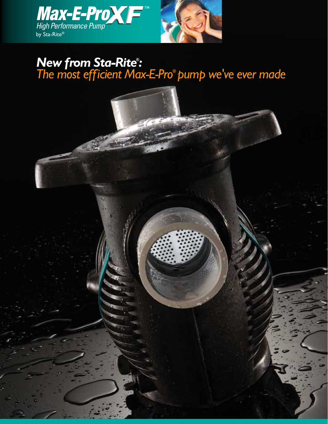

# *New from Sta-Rite® : The most efficient Max-E-Pro***®**  *pump we've ever made*

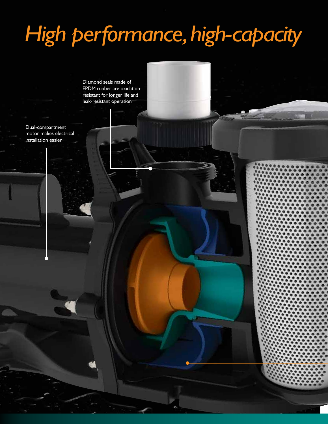# *High performance, high-capacity*

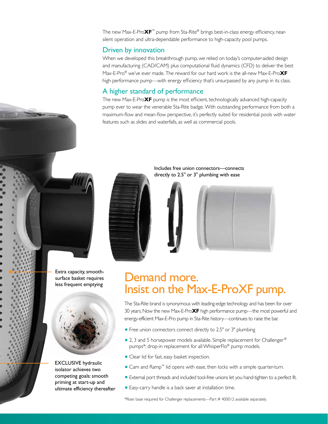The new Max-E-Pro**XF**™ pump from Sta-Rite® brings best-in-class energy efficiency, nearsilent operation and ultra-dependable performance to high-capacity pool pumps.

## Driven by innovation

When we developed this breakthrough pump, we relied on today's computer-aided design and manufacturing (CAD/CAM) plus computational fluid dynamics (CFD) to deliver the best Max-E-Pro® we've ever made. The reward for our hard work is the all-new Max-E-Pro**XF** high performance pump—with energy efficiency that's unsurpassed by any pump in its class.

## A higher standard of performance

The new Max-E-Pro**XF** pump is the most efficient, technologically advanced high-capacity pump ever to wear the venerable Sta-Rite badge. With outstanding performance from both a maximum-flow and mean-flow perspective, it's perfectly suited for residential pools with water features such as slides and waterfalls, as well as commercial pools.



Includes free union connectors—connects directly to 2.5" or 3" plumbing with ease



Extra capacity, smoothsurface basket requires less frequent emptying



EXCLUSIVE hydraulic isolator achieves two competing goals: smooth priming at start-up and ultimate efficiency thereafter

# Demand more. Insist on the Max-E-ProXF pump.

The Sta-Rite brand is synonymous with leading-edge technology and has been for over 30 years. Now the new Max-E-Pro**XF** high performance pump—the most powerful and energy-efficient Max-E-Pro pump in Sta-Rite history—continues to raise the bar.

- **•** Free union connectors connect directly to 2.5" or 3" plumbing
- 2, 3 and 5 horsepower models available. Simple replacement for Challenger<sup>®</sup> pumps\*; drop-in replacement for all WhisperFlo® pump models.
- **•** Clear lid for fast, easy basket inspection.
- **•** Cam and Ramp™ lid opens with ease, then locks with a simple quarter-turn.
- **•** External port threads and included tool-free unions let you hand-tighten to a perfect fit.
- **•** Easy-carry handle is a back saver at installation time.

\*Riser base required for Challenger replacements—Part # 400012 available separately.